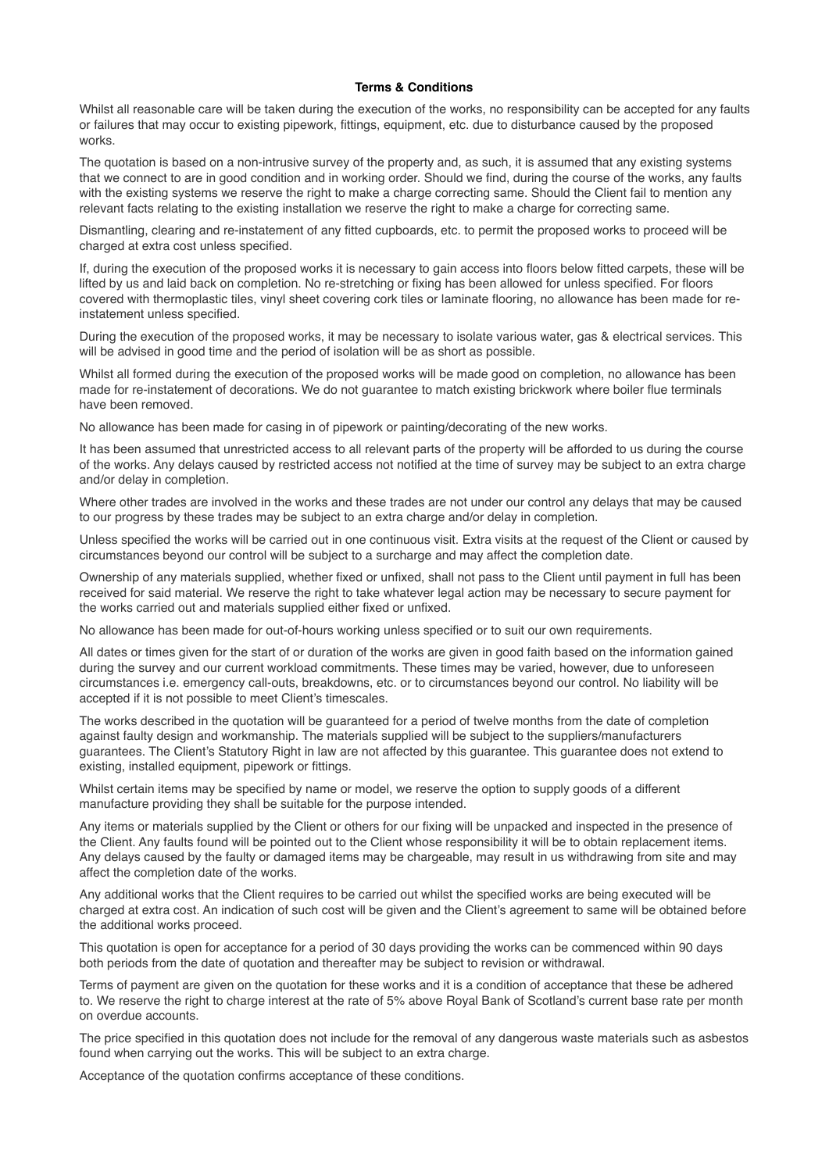## **Terms & Conditions**

Whilst all reasonable care will be taken during the execution of the works, no responsibility can be accepted for any faults or failures that may occur to existing pipework, fittings, equipment, etc. due to disturbance caused by the proposed works.

The quotation is based on a non-intrusive survey of the property and, as such, it is assumed that any existing systems that we connect to are in good condition and in working order. Should we find, during the course of the works, any faults with the existing systems we reserve the right to make a charge correcting same. Should the Client fail to mention any relevant facts relating to the existing installation we reserve the right to make a charge for correcting same.

Dismantling, clearing and re-instatement of any fitted cupboards, etc. to permit the proposed works to proceed will be charged at extra cost unless specified.

If, during the execution of the proposed works it is necessary to gain access into floors below fitted carpets, these will be lifted by us and laid back on completion. No re-stretching or fixing has been allowed for unless specified. For floors covered with thermoplastic tiles, vinyl sheet covering cork tiles or laminate flooring, no allowance has been made for reinstatement unless specified.

During the execution of the proposed works, it may be necessary to isolate various water, gas & electrical services. This will be advised in good time and the period of isolation will be as short as possible.

Whilst all formed during the execution of the proposed works will be made good on completion, no allowance has been made for re-instatement of decorations. We do not guarantee to match existing brickwork where boiler flue terminals have been removed.

No allowance has been made for casing in of pipework or painting/decorating of the new works.

It has been assumed that unrestricted access to all relevant parts of the property will be afforded to us during the course of the works. Any delays caused by restricted access not notified at the time of survey may be subject to an extra charge and/or delay in completion.

Where other trades are involved in the works and these trades are not under our control any delays that may be caused to our progress by these trades may be subject to an extra charge and/or delay in completion.

Unless specified the works will be carried out in one continuous visit. Extra visits at the request of the Client or caused by circumstances beyond our control will be subject to a surcharge and may affect the completion date.

Ownership of any materials supplied, whether fixed or unfixed, shall not pass to the Client until payment in full has been received for said material. We reserve the right to take whatever legal action may be necessary to secure payment for the works carried out and materials supplied either fixed or unfixed.

No allowance has been made for out-of-hours working unless specified or to suit our own requirements.

All dates or times given for the start of or duration of the works are given in good faith based on the information gained during the survey and our current workload commitments. These times may be varied, however, due to unforeseen circumstances i.e. emergency call-outs, breakdowns, etc. or to circumstances beyond our control. No liability will be accepted if it is not possible to meet Client's timescales.

The works described in the quotation will be guaranteed for a period of twelve months from the date of completion against faulty design and workmanship. The materials supplied will be subject to the suppliers/manufacturers guarantees. The Client's Statutory Right in law are not affected by this guarantee. This guarantee does not extend to existing, installed equipment, pipework or fittings.

Whilst certain items may be specified by name or model, we reserve the option to supply goods of a different manufacture providing they shall be suitable for the purpose intended.

Any items or materials supplied by the Client or others for our fixing will be unpacked and inspected in the presence of the Client. Any faults found will be pointed out to the Client whose responsibility it will be to obtain replacement items. Any delays caused by the faulty or damaged items may be chargeable, may result in us withdrawing from site and may affect the completion date of the works.

Any additional works that the Client requires to be carried out whilst the specified works are being executed will be charged at extra cost. An indication of such cost will be given and the Client's agreement to same will be obtained before the additional works proceed.

This quotation is open for acceptance for a period of 30 days providing the works can be commenced within 90 days both periods from the date of quotation and thereafter may be subject to revision or withdrawal.

Terms of payment are given on the quotation for these works and it is a condition of acceptance that these be adhered to. We reserve the right to charge interest at the rate of 5% above Royal Bank of Scotland's current base rate per month on overdue accounts.

The price specified in this quotation does not include for the removal of any dangerous waste materials such as asbestos found when carrying out the works. This will be subject to an extra charge.

Acceptance of the quotation confirms acceptance of these conditions.